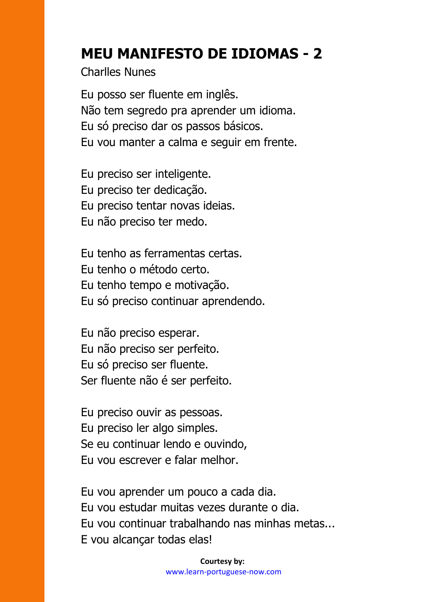## **MEU MANIFESTO DE IDIOMAS - 2**

Charlles Nunes

Eu posso ser fluente em inglês. Não tem segredo pra aprender um idioma. Eu só preciso dar os passos básicos. Eu vou manter a calma e seguir em frente.

Eu preciso ser inteligente. Eu preciso ter dedicação. Eu preciso tentar novas ideias. Eu não preciso ter medo.

Eu tenho as ferramentas certas. Eu tenho o método certo. Eu tenho tempo e motivação. Eu só preciso continuar aprendendo.

Eu não preciso esperar. Eu não preciso ser perfeito. Eu só preciso ser fluente. Ser fluente não é ser perfeito.

Eu preciso ouvir as pessoas. Eu preciso ler algo simples. Se eu continuar lendo e ouvindo, Eu vou escrever e falar melhor.

Eu vou aprender um pouco a cada dia. Eu vou estudar muitas vezes durante o dia. Eu vou continuar trabalhando nas minhas metas... E vou alcançar todas elas!